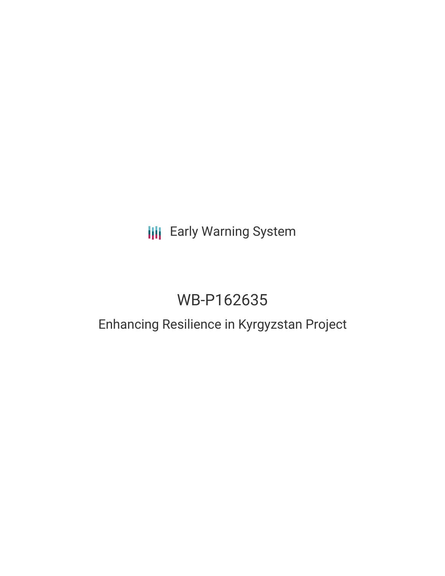## **III** Early Warning System

# WB-P162635

### Enhancing Resilience in Kyrgyzstan Project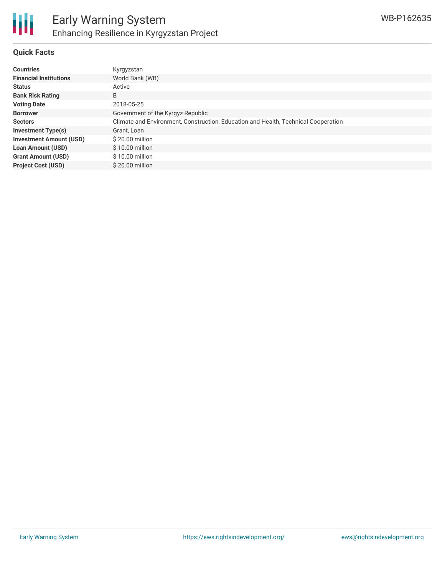

#### **Quick Facts**

| <b>Countries</b>               | Kyrgyzstan                                                                         |
|--------------------------------|------------------------------------------------------------------------------------|
| <b>Financial Institutions</b>  | World Bank (WB)                                                                    |
| <b>Status</b>                  | Active                                                                             |
| <b>Bank Risk Rating</b>        | B                                                                                  |
| <b>Voting Date</b>             | 2018-05-25                                                                         |
| <b>Borrower</b>                | Government of the Kyrgyz Republic                                                  |
| <b>Sectors</b>                 | Climate and Environment, Construction, Education and Health, Technical Cooperation |
| <b>Investment Type(s)</b>      | Grant, Loan                                                                        |
| <b>Investment Amount (USD)</b> | \$20.00 million                                                                    |
| <b>Loan Amount (USD)</b>       | $$10.00$ million                                                                   |
| <b>Grant Amount (USD)</b>      | \$10.00 million                                                                    |
| <b>Project Cost (USD)</b>      | $$20.00$ million                                                                   |
|                                |                                                                                    |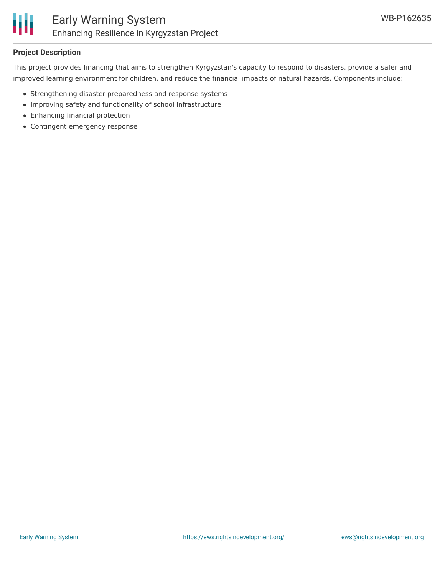

#### **Project Description**

This project provides financing that aims to strengthen Kyrgyzstan's capacity to respond to disasters, provide a safer and improved learning environment for children, and reduce the financial impacts of natural hazards. Components include:

- Strengthening disaster preparedness and response systems
- Improving safety and functionality of school infrastructure
- Enhancing financial protection
- Contingent emergency response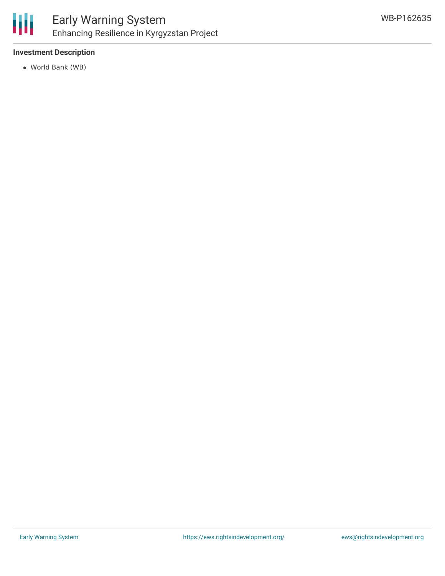

#### **Investment Description**

World Bank (WB)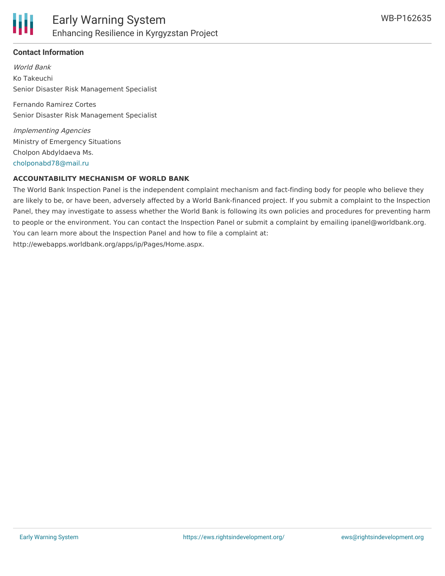#### **Contact Information**

World Bank Ko Takeuchi Senior Disaster Risk Management Specialist

Fernando Ramirez Cortes Senior Disaster Risk Management Specialist

Implementing Agencies Ministry of Emergency Situations Cholpon Abdyldaeva Ms. [cholponabd78@mail.ru](mailto:cholponabd78@mail.ru)

#### **ACCOUNTABILITY MECHANISM OF WORLD BANK**

The World Bank Inspection Panel is the independent complaint mechanism and fact-finding body for people who believe they are likely to be, or have been, adversely affected by a World Bank-financed project. If you submit a complaint to the Inspection Panel, they may investigate to assess whether the World Bank is following its own policies and procedures for preventing harm to people or the environment. You can contact the Inspection Panel or submit a complaint by emailing ipanel@worldbank.org. You can learn more about the Inspection Panel and how to file a complaint at: http://ewebapps.worldbank.org/apps/ip/Pages/Home.aspx.